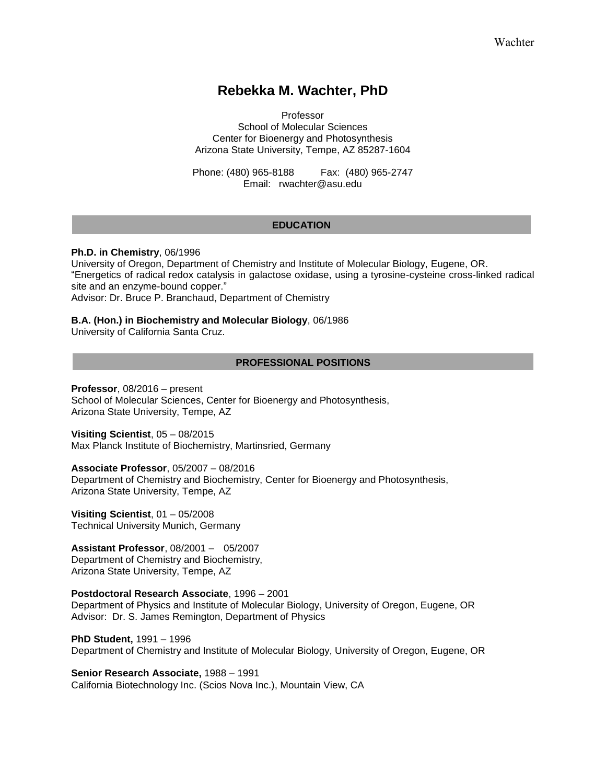# **Rebekka M. Wachter, PhD**

Professor School of Molecular Sciences Center for Bioenergy and Photosynthesis Arizona State University, Tempe, AZ 85287-1604

Phone: (480) 965-8188 Fax: (480) 965-2747 Email: rwachter@asu.edu

### **EDUCATION**

### **Ph.D. in Chemistry**, 06/1996

University of Oregon, Department of Chemistry and Institute of Molecular Biology, Eugene, OR. "Energetics of radical redox catalysis in galactose oxidase, using a tyrosine-cysteine cross-linked radical site and an enzyme-bound copper."

Advisor: Dr. Bruce P. Branchaud, Department of Chemistry

### **B.A. (Hon.) in Biochemistry and Molecular Biology**, 06/1986

University of California Santa Cruz.

### **PROFESSIONAL POSITIONS**

**Professor**, 08/2016 – present School of Molecular Sciences, Center for Bioenergy and Photosynthesis, Arizona State University, Tempe, AZ

**Visiting Scientist**, 05 – 08/2015 Max Planck Institute of Biochemistry, Martinsried, Germany

**Associate Professor**, 05/2007 – 08/2016 Department of Chemistry and Biochemistry, Center for Bioenergy and Photosynthesis, Arizona State University, Tempe, AZ

**Visiting Scientist**, 01 – 05/2008 Technical University Munich, Germany

**Assistant Professor**, 08/2001 – 05/2007 Department of Chemistry and Biochemistry, Arizona State University, Tempe, AZ

**Postdoctoral Research Associate**, 1996 – 2001 Department of Physics and Institute of Molecular Biology, University of Oregon, Eugene, OR Advisor: Dr. S. James Remington, Department of Physics

**PhD Student,** 1991 – 1996 Department of Chemistry and Institute of Molecular Biology, University of Oregon, Eugene, OR

**Senior Research Associate,** 1988 – 1991 California Biotechnology Inc. (Scios Nova Inc.), Mountain View, CA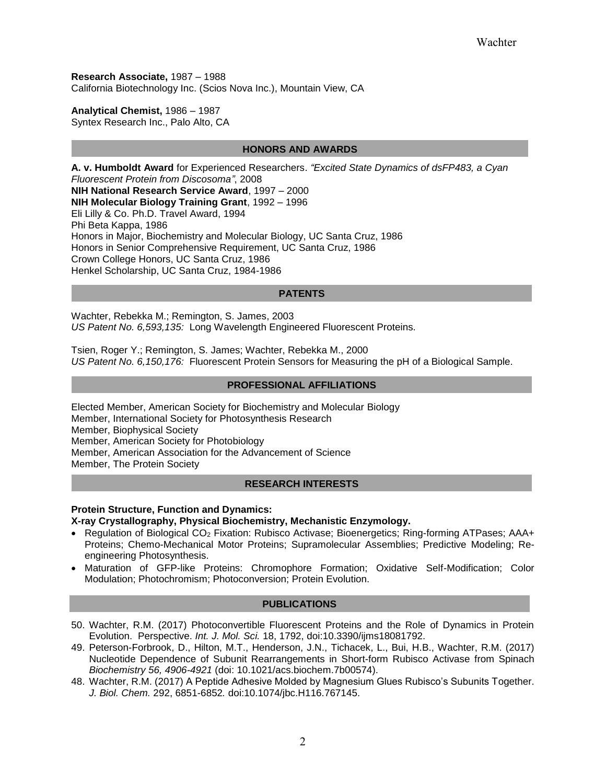**Research Associate,** 1987 – 1988 California Biotechnology Inc. (Scios Nova Inc.), Mountain View, CA

**Analytical Chemist,** 1986 – 1987 Syntex Research Inc., Palo Alto, CA

### **HONORS AND AWARDS**

**A. v. Humboldt Award** for Experienced Researchers. *"Excited State Dynamics of dsFP483, a Cyan Fluorescent Protein from Discosoma"*, 2008 **NIH National Research Service Award**, 1997 – 2000 **NIH Molecular Biology Training Grant**, 1992 – 1996 Eli Lilly & Co. Ph.D. Travel Award, 1994 Phi Beta Kappa, 1986 Honors in Major, Biochemistry and Molecular Biology, UC Santa Cruz, 1986 Honors in Senior Comprehensive Requirement, UC Santa Cruz, 1986 Crown College Honors, UC Santa Cruz, 1986 Henkel Scholarship, UC Santa Cruz, 1984-1986

### **PATENTS**

Wachter, Rebekka M.; Remington, S. James, 2003 *US Patent No. 6,593,135:* Long Wavelength Engineered Fluorescent Proteins.

Tsien, Roger Y.; Remington, S. James; Wachter, Rebekka M., 2000 *US Patent No. 6,150,176:* Fluorescent Protein Sensors for Measuring the pH of a Biological Sample.

### Elected Member, American Society for Biochemistry and Molecular Biology (2005) **PROFESSIONAL AFFILIATIONS**

Elected Member, American Society for Biochemistry and Molecular Biology Member, International Society for Photosynthesis Research Member, Biophysical Society Member, American Society for Photobiology Member, American Association for the Advancement of Science Member, The Protein Society

### **RESEARCH INTERESTS**

# **Protein Structure, Function and Dynamics:**

# **X-ray Crystallography, Physical Biochemistry, Mechanistic Enzymology.**

- Regulation of Biological CO<sub>2</sub> Fixation: Rubisco Activase; Bioenergetics; Ring-forming ATPases; AAA+ Proteins; Chemo-Mechanical Motor Proteins; Supramolecular Assemblies; Predictive Modeling; Reengineering Photosynthesis.
- Maturation of GFP-like Proteins: Chromophore Formation; Oxidative Self-Modification; Color Modulation; Photochromism; Photoconversion; Protein Evolution.

### **PUBLICATIONS**

- I 50. Wachter, R.M. (2017) Photoconvertible Fluorescent Proteins and the Role of Dynamics in Protein Evolution. Perspective. *Int. J. Mol. Sci.* 18, 1792, doi:10.3390/ijms18081792.
- 49. Peterson-Forbrook, D., Hilton, M.T., Henderson, J.N., Tichacek, L., Bui, H.B., Wachter, R.M. (2017) Nucleotide Dependence of Subunit Rearrangements in Short-form Rubisco Activase from Spinach *Biochemistry 56, 4906-4921* [\(doi: 10.1021/acs.biochem.7b00574\)](http://dx.doi.org/10.1021/acs.biochem.7b00574).
- 48. Wachter, R.M. (2017) A Peptide Adhesive Molded by Magnesium Glues Rubisco's Subunits Together. *J. Biol. Chem.* 292, 6851-6852*.* doi:10.1074/jbc.H116.767145.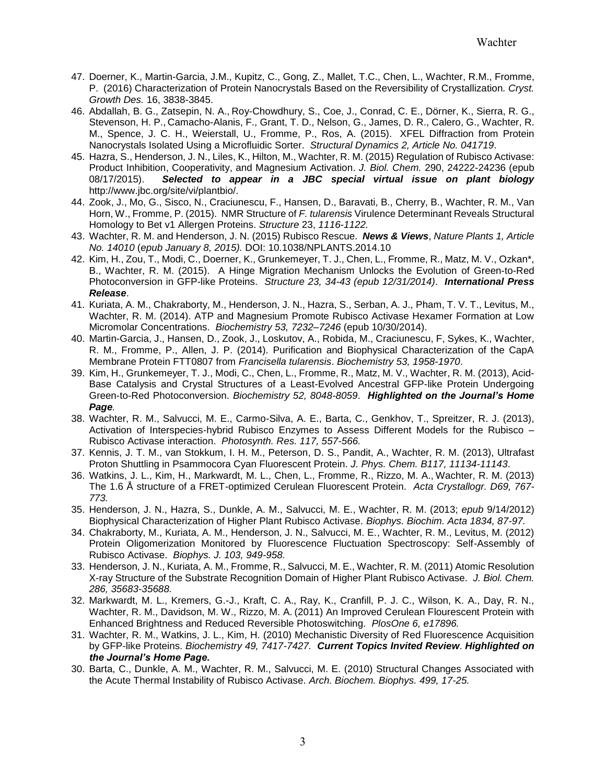- 47. Doerner, K., Martin-Garcia, J.M., Kupitz, C., Gong, Z., Mallet, T.C., Chen, L., Wachter, R.M., Fromme, P. (2016) Characterization of Protein Nanocrystals Based on the Reversibility of Crystallization*. Cryst. Growth Des.* 16, 3838-3845.
- 46. Abdallah, B. G., Zatsepin, N. A., Roy-Chowdhury, S., Coe, J., Conrad, C. E., Dörner, K., Sierra, R. G., Stevenson, H. P., Camacho-Alanis, F., Grant, T. D., Nelson, G., James, D. R., Calero, G., Wachter, R. M., Spence, J. C. H., Weierstall, U., Fromme, P., Ros, A. (2015). XFEL Diffraction from Protein Nanocrystals Isolated Using a Microfluidic Sorter. *Structural Dynamics 2, Article No. 041719*.
- 45. Hazra, S., Henderson, J. N., Liles, K., Hilton, M., Wachter, R. M. (2015) Regulation of Rubisco Activase: Product Inhibition, Cooperativity, and Magnesium Activation. *J. Biol. Chem.* 290, 24222-24236 (epub 08/17/2015). *Selected to appear in a JBC special virtual issue on plant biology*  [http://www.jbc.org/site/vi/plantbio/.](https://urldefense.proofpoint.com/v2/url?u=http-3A__www.jbc.org_site_vi_plantbio_&d=DwMF-g&c=l45AxH-kUV29SRQusp9vYR0n1GycN4_2jInuKy6zbqQ&r=QtxSEExaxyTpv1UvBjGEeZwwRBcDhBshVFrPNLlZfSI&m=yLV_nQ8Ok0MgUQyKaK-xgAfHlGEZDRiyYDzbI8CIMaE&s=KhcTaW6bR4-TnxyfWLxc9lEZa_OGqnclTQi7DTPm3Wk&e=)
- 44. Zook, J., Mo, G., Sisco, N., Craciunescu, F., Hansen, D., Baravati, B., Cherry, B., Wachter, R. M., Van Horn, W., Fromme, P. (2015). NMR Structure of *F. tularensis* Virulence Determinant Reveals Structural Homology to Bet v1 Allergen Proteins. *Structure* 23, *1116-1122.*
- 43. Wachter, R. M. and Henderson, J. N. (2015) Rubisco Rescue. *News & Views*, *Nature Plants 1, Article No. 14010* (*epub January 8, 2015).* DOI: 10.1038/NPLANTS.2014.10
- 42. Kim, H., Zou, T., Modi, C., Doerner, K., Grunkemeyer, T. J., Chen, L., Fromme, R., Matz, M. V., Ozkan\*, B., Wachter, R. M. (2015). A Hinge Migration Mechanism Unlocks the Evolution of Green-to-Red Photoconversion in GFP-like Proteins. *Structure 23, 34-43 (epub 12/31/2014)*. *International Press Release*.
- 41. Kuriata, A. M., Chakraborty, M., Henderson, J. N., Hazra, S., Serban, A. J., Pham, T. V. T., Levitus, M., Wachter, R. M. (2014). ATP and Magnesium Promote Rubisco Activase Hexamer Formation at Low Micromolar Concentrations. *Biochemistry 53, 7232–7246* (epub 10/30/2014).
- 40. Martin-Garcia, J., Hansen, D., Zook, J., Loskutov, A., Robida, M., Craciunescu, F, Sykes, K., Wachter, R. M., Fromme, P., Allen, J. P. (2014). Purification and Biophysical Characterization of the CapA Membrane Protein FTT0807 from *Francisella tularensis*. *Biochemistry 53, 1958-1970*.
- 39. Kim, H., Grunkemeyer, T. J., Modi, C., Chen, L., Fromme, R., Matz, M. V., Wachter, R. M. (2013), Acid-Base Catalysis and Crystal Structures of a Least-Evolved Ancestral GFP-like Protein Undergoing Green-to-Red Photoconversion. *Biochemistry 52, 8048-8059*. *Highlighted on the Journal's Home Page.*
- 38. Wachter, R. M., Salvucci, M. E., Carmo-Silva, A. E., Barta, C., Genkhov, T., Spreitzer, R. J. (2013), Activation of Interspecies-hybrid Rubisco Enzymes to Assess Different Models for the Rubisco – Rubisco Activase interaction. *Photosynth. Res. 117, 557-566.*
- 37. Kennis, J. T. M., van Stokkum, I. H. M., Peterson, D. S., Pandit, A., Wachter, R. M. (2013), Ultrafast Proton Shuttling in Psammocora Cyan Fluorescent Protein. *J. Phys. Chem. B117, 11134-11143*.
- 36. Watkins, J. L., Kim, H., Markwardt, M. L., Chen, L., Fromme, R., Rizzo, M. A., Wachter, R. M. (2013) The 1.6 Å structure of a FRET-optimized Cerulean Fluorescent Protein. *Acta Crystallogr. D69, 767- 773.*
- 35. Henderson, J. N., Hazra, S., Dunkle, A. M., Salvucci, M. E., Wachter, R. M. (2013; *epub* 9/14/2012) Biophysical Characterization of Higher Plant Rubisco Activase. *Biophys. Biochim. Acta 1834, 87-97.*
- 34. Chakraborty, M., Kuriata, A. M., Henderson, J. N., Salvucci, M. E., Wachter, R. M., Levitus, M. (2012) Protein Oligomerization Monitored by Fluorescence Fluctuation Spectroscopy: Self-Assembly of Rubisco Activase. *Biophys. J. 103, 949-958.*
- 33. Henderson, J. N., Kuriata, A. M., Fromme, R., Salvucci, M. E., Wachter, R. M. (2011) Atomic Resolution X-ray Structure of the Substrate Recognition Domain of Higher Plant Rubisco Activase. *J. Biol. Chem. 286, 35683-35688.*
- 32. Markwardt, M. L., Kremers, G.-J., Kraft, C. A., Ray, K., Cranfill, P. J. C., Wilson, K. A., Day, R. N., Wachter, R. M., Davidson, M. W., Rizzo, M. A. (2011) An Improved Cerulean Flourescent Protein with Enhanced Brightness and Reduced Reversible Photoswitching. *PlosOne 6, e17896.*
- 31. Wachter, R. M., Watkins, J. L., Kim, H. (2010) Mechanistic Diversity of Red Fluorescence Acquisition by GFP-like Proteins. *Biochemistry 49, 7417-7427. Current Topics Invited Review*. *Highlighted on the Journal's Home Page.*
- 30. Barta, C., Dunkle, A. M., Wachter, R. M., Salvucci, M. E. (2010) Structural Changes Associated with the Acute Thermal Instability of Rubisco Activase. *Arch. Biochem. Biophys. 499, 17-25.*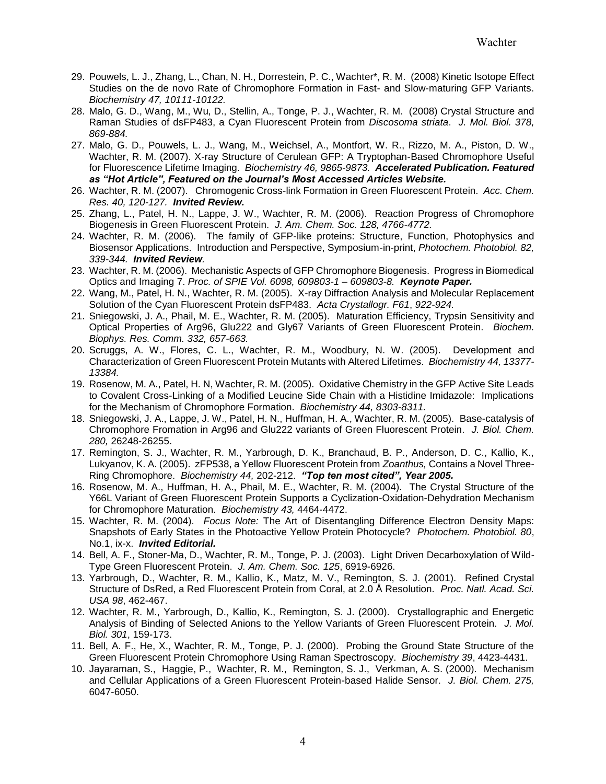- 29. Pouwels, L. J., Zhang, L., Chan, N. H., Dorrestein, P. C., Wachter\*, R. M. (2008) Kinetic Isotope Effect Studies on the de novo Rate of Chromophore Formation in Fast- and Slow-maturing GFP Variants. *Biochemistry 47, 10111-10122.*
- 28. Malo, G. D., Wang, M., Wu, D., Stellin, A., Tonge, P. J., Wachter, R. M. (2008) Crystal Structure and Raman Studies of dsFP483, a Cyan Fluorescent Protein from *Discosoma striata*. *J. Mol. Biol. 378, 869-884.*
- 27. Malo, G. D., Pouwels, L. J., Wang, M., Weichsel, A., Montfort, W. R., Rizzo, M. A., Piston, D. W., Wachter, R. M. (2007). X-ray Structure of Cerulean GFP: A Tryptophan-Based Chromophore Useful for Fluorescence Lifetime Imaging. *Biochemistry 46, 9865-9873. Accelerated Publication. Featured as "Hot Article", Featured on the Journal's Most Accessed Articles Website.*
- 26. Wachter, R. M. (2007). Chromogenic Cross-link Formation in Green Fluorescent Protein. *Acc. Chem. Res. 40, 120-127. Invited Review.*
- 25. Zhang, L., Patel, H. N., Lappe, J. W., Wachter, R. M. (2006). Reaction Progress of Chromophore Biogenesis in Green Fluorescent Protein. *J. Am. Chem. Soc. 128, 4766-4772.*
- 24. Wachter, R. M. (2006). The family of GFP-like proteins: Structure, Function, Photophysics and Biosensor Applications. Introduction and Perspective, Symposium-in-print, *Photochem. Photobiol. 82, 339-344. Invited Review.*
- 23. Wachter, R. M. (2006). Mechanistic Aspects of GFP Chromophore Biogenesis. Progress in Biomedical Optics and Imaging 7. *Proc. of SPIE Vol. 6098, 609803-1 – 609803-8. Keynote Paper.*
- 22. Wang, M., Patel, H. N., Wachter, R. M. (2005). X-ray Diffraction Analysis and Molecular Replacement Solution of the Cyan Fluorescent Protein dsFP483. *Acta Crystallogr. F61*, *922-924.*
- 21. Sniegowski, J. A., Phail, M. E., Wachter, R. M. (2005). Maturation Efficiency, Trypsin Sensitivity and Optical Properties of Arg96, Glu222 and Gly67 Variants of Green Fluorescent Protein. *Biochem. Biophys. Res. Comm. 332, 657-663.*
- 20. Scruggs, A. W., Flores, C. L., Wachter, R. M., Woodbury, N. W. (2005). Development and Characterization of Green Fluorescent Protein Mutants with Altered Lifetimes. *Biochemistry 44, 13377- 13384.*
- 19. Rosenow, M. A., Patel, H. N, Wachter, R. M. (2005). Oxidative Chemistry in the GFP Active Site Leads to Covalent Cross-Linking of a Modified Leucine Side Chain with a Histidine Imidazole: Implications for the Mechanism of Chromophore Formation. *Biochemistry 44, 8303-8311.*
- 18. Sniegowski, J. A., Lappe, J. W., Patel, H. N., Huffman, H. A., Wachter, R. M. (2005). Base-catalysis of Chromophore Fromation in Arg96 and Glu222 variants of Green Fluorescent Protein. *J. Biol. Chem. 280,* 26248-26255.
- 17. Remington, S. J., Wachter, R. M., Yarbrough, D. K., Branchaud, B. P., Anderson, D. C., Kallio, K., Lukyanov, K. A. (2005). zFP538, a Yellow Fluorescent Protein from *Zoanthus,* Contains a Novel Three-Ring Chromophore. *Biochemistry 44,* 202-212. *"Top ten most cited", Year 2005.*
- 16. Rosenow, M. A., Huffman, H. A., Phail, M. E., Wachter, R. M. (2004). The Crystal Structure of the Y66L Variant of Green Fluorescent Protein Supports a Cyclization-Oxidation-Dehydration Mechanism for Chromophore Maturation. *Biochemistry 43,* 4464-4472.
- 15. Wachter, R. M. (2004). *Focus Note:* The Art of Disentangling Difference Electron Density Maps: Snapshots of Early States in the Photoactive Yellow Protein Photocycle? *Photochem. Photobiol. 80*, No.1, ix-x. *Invited Editorial.*
- 14. Bell, A. F., Stoner-Ma, D., Wachter, R. M., Tonge, P. J. (2003). Light Driven Decarboxylation of Wild-Type Green Fluorescent Protein. *J. Am. Chem. Soc. 125*, 6919-6926.
- 13. Yarbrough, D., Wachter, R. M., Kallio, K., Matz, M. V., Remington, S. J. (2001). Refined Crystal Structure of DsRed, a Red Fluorescent Protein from Coral, at 2.0 Å Resolution. *Proc. Natl. Acad. Sci. USA 98*, 462-467.
- 12. Wachter, R. M., Yarbrough, D., Kallio, K., Remington, S. J. (2000). Crystallographic and Energetic Analysis of Binding of Selected Anions to the Yellow Variants of Green Fluorescent Protein. *J. Mol. Biol. 301*, 159-173.
- 11. Bell, A. F., He, X., Wachter, R. M., Tonge, P. J. (2000). Probing the Ground State Structure of the Green Fluorescent Protein Chromophore Using Raman Spectroscopy. *Biochemistry 39*, 4423-4431.
- 10. Jayaraman, S., Haggie, P., Wachter, R. M., Remington, S. J., Verkman, A. S. (2000). Mechanism and Cellular Applications of a Green Fluorescent Protein-based Halide Sensor. *J. Biol. Chem. 275,* 6047-6050.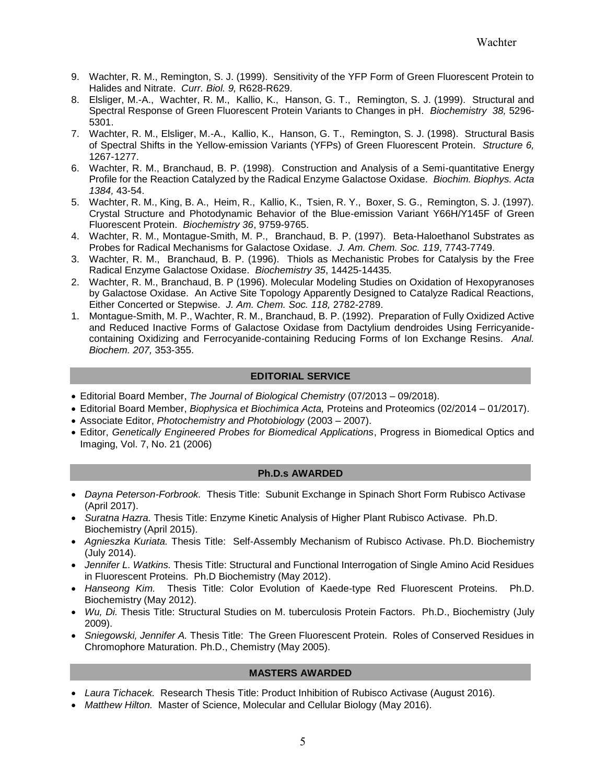- 9. Wachter, R. M., Remington, S. J. (1999). Sensitivity of the YFP Form of Green Fluorescent Protein to Halides and Nitrate. *Curr. Biol. 9,* R628-R629.
- 8. Elsliger, M.-A., Wachter, R. M., Kallio, K., Hanson, G. T., Remington, S. J. (1999). Structural and Spectral Response of Green Fluorescent Protein Variants to Changes in pH. *Biochemistry 38,* 5296- 5301.
- 7. Wachter, R. M., Elsliger, M.-A., Kallio, K., Hanson, G. T., Remington, S. J. (1998). Structural Basis of Spectral Shifts in the Yellow-emission Variants (YFPs) of Green Fluorescent Protein. *Structure 6,*  1267-1277.
- 6. Wachter, R. M., Branchaud, B. P. (1998). Construction and Analysis of a Semi-quantitative Energy Profile for the Reaction Catalyzed by the Radical Enzyme Galactose Oxidase. *Biochim. Biophys. Acta 1384,* 43-54.
- 5. Wachter, R. M., King, B. A., Heim, R., Kallio, K., Tsien, R. Y., Boxer, S. G., Remington, S. J. (1997). Crystal Structure and Photodynamic Behavior of the Blue-emission Variant Y66H/Y145F of Green Fluorescent Protein. *Biochemistry 36*, 9759-9765.
- 4. Wachter, R. M., Montague-Smith, M. P., Branchaud, B. P. (1997). Beta-Haloethanol Substrates as Probes for Radical Mechanisms for Galactose Oxidase. *J. Am. Chem. Soc. 119*, 7743-7749.
- 3. Wachter, R. M., Branchaud, B. P. (1996). Thiols as Mechanistic Probes for Catalysis by the Free Radical Enzyme Galactose Oxidase. *Biochemistry 35*, 14425-14435*.*
- 2. Wachter, R. M., Branchaud, B. P (1996). Molecular Modeling Studies on Oxidation of Hexopyranoses by Galactose Oxidase. An Active Site Topology Apparently Designed to Catalyze Radical Reactions, Either Concerted or Stepwise. *J. Am. Chem. Soc. 118,* 2782-2789.
- 1. Montague-Smith, M. P., Wachter, R. M., Branchaud, B. P. (1992). Preparation of Fully Oxidized Active and Reduced Inactive Forms of Galactose Oxidase from Dactylium dendroides Using Ferricyanidecontaining Oxidizing and Ferrocyanide-containing Reducing Forms of Ion Exchange Resins. *Anal. Biochem. 207,* 353-355.

# **EDITORIAL SERVICE**

- Editorial Board Member, *The Journal of Biological Chemistry* (07/2013 09/2018).
- Editorial Board Member, *Biophysica et Biochimica Acta,* Proteins and Proteomics (02/2014 01/2017).
- Associate Editor, *Photochemistry and Photobiology* (2003 2007).
- Editor, *Genetically Engineered Probes for Biomedical Applications*, Progress in Biomedical Optics and Imaging, Vol. 7, No. 21 (2006)

### **Ph.D.s AWARDED**

- *Dayna Peterson-Forbrook.* Thesis Title: Subunit Exchange in Spinach Short Form Rubisco Activase (April 2017).
- *Suratna Hazra.* Thesis Title: Enzyme Kinetic Analysis of Higher Plant Rubisco Activase. Ph.D. Biochemistry (April 2015).
- *Agnieszka Kuriata.* Thesis Title: Self-Assembly Mechanism of Rubisco Activase. Ph.D. Biochemistry (July 2014).
- *Jennifer L. Watkins.* Thesis Title: Structural and Functional Interrogation of Single Amino Acid Residues in Fluorescent Proteins. Ph.D Biochemistry (May 2012).
- *Hanseong Kim.* Thesis Title: Color Evolution of Kaede-type Red Fluorescent Proteins. Ph.D. Biochemistry (May 2012).
- *Wu, Di.* Thesis Title: Structural Studies on M. tuberculosis Protein Factors. Ph.D., Biochemistry (July 2009).
- *Sniegowski, Jennifer A.* Thesis Title: The Green Fluorescent Protein. Roles of Conserved Residues in Chromophore Maturation. Ph.D., Chemistry (May 2005).

# **MASTERS AWARDED**

- *Laura Tichacek.* Research Thesis Title: Product Inhibition of Rubisco Activase (August 2016).
- *Matthew Hilton.* Master of Science, Molecular and Cellular Biology (May 2016).